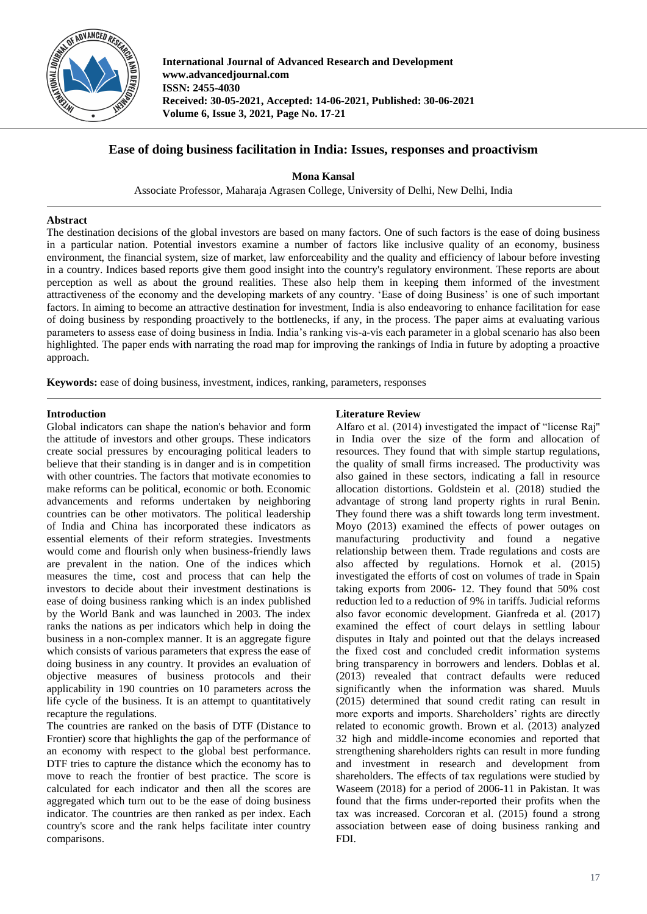

**International Journal of Advanced Research and Development www.advancedjournal.com ISSN: 2455-4030 Received: 30-05-2021, Accepted: 14-06-2021, Published: 30-06-2021 Volume 6, Issue 3, 2021, Page No. 17-21**

# **Ease of doing business facilitation in India: Issues, responses and proactivism**

**Mona Kansal**

Associate Professor, Maharaja Agrasen College, University of Delhi, New Delhi, India

### **Abstract**

The destination decisions of the global investors are based on many factors. One of such factors is the ease of doing business in a particular nation. Potential investors examine a number of factors like inclusive quality of an economy, business environment, the financial system, size of market, law enforceability and the quality and efficiency of labour before investing in a country. Indices based reports give them good insight into the country's regulatory environment. These reports are about perception as well as about the ground realities. These also help them in keeping them informed of the investment attractiveness of the economy and the developing markets of any country. 'Ease of doing Business' is one of such important factors. In aiming to become an attractive destination for investment, India is also endeavoring to enhance facilitation for ease of doing business by responding proactively to the bottlenecks, if any, in the process. The paper aims at evaluating various parameters to assess ease of doing business in India. India's ranking vis-a-vis each parameter in a global scenario has also been highlighted. The paper ends with narrating the road map for improving the rankings of India in future by adopting a proactive approach.

**Keywords:** ease of doing business, investment, indices, ranking, parameters, responses

### **Introduction**

Global indicators can shape the nation's behavior and form the attitude of investors and other groups. These indicators create social pressures by encouraging political leaders to believe that their standing is in danger and is in competition with other countries. The factors that motivate economies to make reforms can be political, economic or both. Economic advancements and reforms undertaken by neighboring countries can be other motivators. The political leadership of India and China has incorporated these indicators as essential elements of their reform strategies. Investments would come and flourish only when business-friendly laws are prevalent in the nation. One of the indices which measures the time, cost and process that can help the investors to decide about their investment destinations is ease of doing business ranking which is an index published by the World Bank and was launched in 2003. The index ranks the nations as per indicators which help in doing the business in a non-complex manner. It is an aggregate figure which consists of various parameters that express the ease of doing business in any country. It provides an evaluation of objective measures of business protocols and their applicability in 190 countries on 10 parameters across the life cycle of the business. It is an attempt to quantitatively recapture the regulations.

The countries are ranked on the basis of DTF (Distance to Frontier) score that highlights the gap of the performance of an economy with respect to the global best performance. DTF tries to capture the distance which the economy has to move to reach the frontier of best practice. The score is calculated for each indicator and then all the scores are aggregated which turn out to be the ease of doing business indicator. The countries are then ranked as per index. Each country's score and the rank helps facilitate inter country comparisons.

### **Literature Review**

Alfaro et al. (2014) investigated the impact of "license Raj'' in India over the size of the form and allocation of resources. They found that with simple startup regulations, the quality of small firms increased. The productivity was also gained in these sectors, indicating a fall in resource allocation distortions. Goldstein et al. (2018) studied the advantage of strong land property rights in rural Benin. They found there was a shift towards long term investment. Moyo (2013) examined the effects of power outages on manufacturing productivity and found a negative relationship between them. Trade regulations and costs are also affected by regulations. Hornok et al. (2015) investigated the efforts of cost on volumes of trade in Spain taking exports from 2006- 12. They found that 50% cost reduction led to a reduction of 9% in tariffs. Judicial reforms also favor economic development. Gianfreda et al. (2017) examined the effect of court delays in settling labour disputes in Italy and pointed out that the delays increased the fixed cost and concluded credit information systems bring transparency in borrowers and lenders. Doblas et al. (2013) revealed that contract defaults were reduced significantly when the information was shared. Muuls (2015) determined that sound credit rating can result in more exports and imports. Shareholders' rights are directly related to economic growth. Brown et al. (2013) analyzed 32 high and middle-income economies and reported that strengthening shareholders rights can result in more funding and investment in research and development from shareholders. The effects of tax regulations were studied by Waseem (2018) for a period of 2006-11 in Pakistan. It was found that the firms under-reported their profits when the tax was increased. Corcoran et al. (2015) found a strong association between ease of doing business ranking and FDI.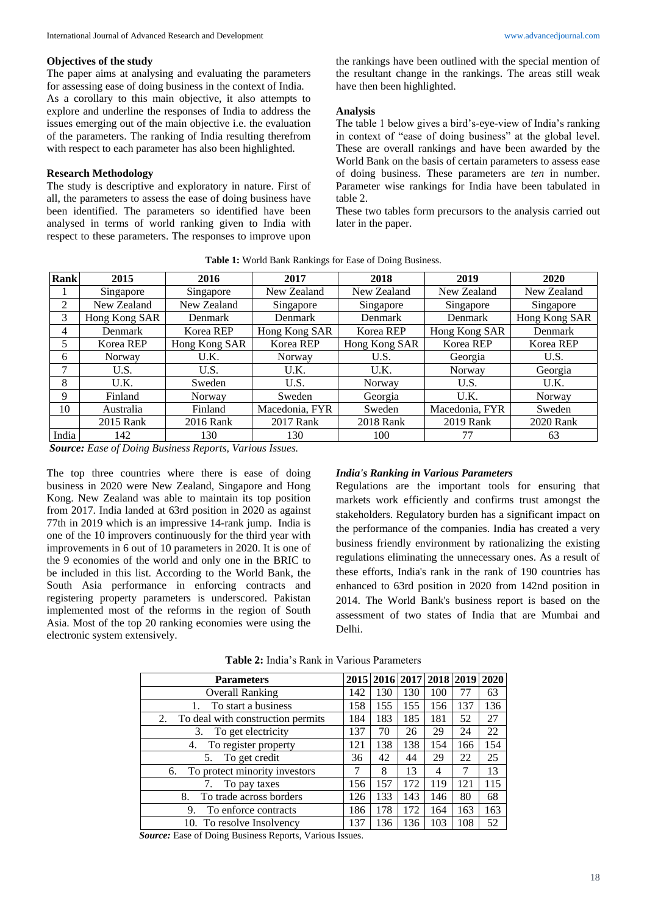#### **Objectives of the study**

The paper aims at analysing and evaluating the parameters for assessing ease of doing business in the context of India. As a corollary to this main objective, it also attempts to explore and underline the responses of India to address the issues emerging out of the main objective i.e. the evaluation of the parameters. The ranking of India resulting therefrom with respect to each parameter has also been highlighted.

## **Research Methodology**

The study is descriptive and exploratory in nature. First of all, the parameters to assess the ease of doing business have been identified. The parameters so identified have been analysed in terms of world ranking given to India with respect to these parameters. The responses to improve upon

the rankings have been outlined with the special mention of the resultant change in the rankings. The areas still weak have then been highlighted.

#### **Analysis**

The table 1 below gives a bird's-eye-view of India's ranking in context of "ease of doing business" at the global level. These are overall rankings and have been awarded by the World Bank on the basis of certain parameters to assess ease of doing business. These parameters are *ten* in number. Parameter wise rankings for India have been tabulated in table 2.

These two tables form precursors to the analysis carried out later in the paper.

| Rank  | 2015          | 2016          | 2017           | 2018           | 2019           | 2020          |  |
|-------|---------------|---------------|----------------|----------------|----------------|---------------|--|
|       | Singapore     | Singapore     | New Zealand    | New Zealand    | New Zealand    | New Zealand   |  |
| 2     | New Zealand   | New Zealand   | Singapore      | Singapore      | Singapore      | Singapore     |  |
| 3     | Hong Kong SAR | Denmark       | Denmark        | <b>Denmark</b> | <b>Denmark</b> | Hong Kong SAR |  |
| 4     | Denmark       | Korea REP     | Hong Kong SAR  | Korea REP      | Hong Kong SAR  | Denmark       |  |
| 5     | Korea REP     | Hong Kong SAR | Korea REP      | Hong Kong SAR  | Korea REP      | Korea REP     |  |
| 6     | Norway        | U.K.          | Norway         | U.S.           | Georgia        | U.S.          |  |
| 7     | U.S.          | U.S.          | U.K.           | U.K.           | Norway         | Georgia       |  |
| 8     | U.K.          | Sweden        | U.S.           | Norway         | U.S.           | U.K.          |  |
| 9     | Finland       | Norway        | Sweden         | Georgia        | U.K.           | Norway        |  |
| 10    | Australia     | Finland       | Macedonia, FYR | Sweden         | Macedonia, FYR | Sweden        |  |
|       | 2015 Rank     | 2016 Rank     | 2017 Rank      | 2018 Rank      | 2019 Rank      | 2020 Rank     |  |
| India | 142           | 130           | 130            | 100            | 77             | 63            |  |

**Table 1:** World Bank Rankings for Ease of Doing Business.

*Source: Ease of Doing Business Reports, Various Issues.*

The top three countries where there is ease of doing business in 2020 were New Zealand, Singapore and Hong Kong. New Zealand was able to maintain its top position from 2017. India landed at 63rd position in 2020 as against 77th in 2019 which is an impressive 14-rank jump. India is one of the 10 improvers continuously for the third year with improvements in 6 out of 10 parameters in 2020. It is one of the 9 economies of the world and only one in the BRIC to be included in this list. According to the World Bank, the South Asia performance in enforcing contracts and registering property parameters is underscored. Pakistan implemented most of the reforms in the region of South Asia. Most of the top 20 ranking economies were using the electronic system extensively.

### *India's Ranking in Various Parameters*

Regulations are the important tools for ensuring that markets work efficiently and confirms trust amongst the stakeholders. Regulatory burden has a significant impact on the performance of the companies. India has created a very business friendly environment by rationalizing the existing regulations eliminating the unnecessary ones. As a result of these efforts, India's rank in the rank of 190 countries has enhanced to 63rd position in 2020 from 142nd position in 2014. The World Bank's business report is based on the assessment of two states of India that are Mumbai and Delhi.

| <b>Parameters</b>                                            |     |     |     | 2015   2016   2017   2018   2019 |     | 2020 |
|--------------------------------------------------------------|-----|-----|-----|----------------------------------|-----|------|
| <b>Overall Ranking</b>                                       |     | 130 | 130 | 100                              | 77  | 63   |
| To start a business<br>1.                                    |     | 155 | 155 | 156                              | 137 | 136  |
| To deal with construction permits<br>2.                      |     | 183 | 185 | 181                              | 52  | 27   |
| To get electricity<br>3.                                     | 137 | 70  | 26  | 29                               | 24  | 22   |
| To register property<br>4.                                   |     | 138 | 138 | 154                              | 166 | 154  |
| To get credit<br>5.                                          |     | 42  | 44  | 29                               | 22  | 25   |
| To protect minority investors<br>6.                          |     | 8   | 13  | 4                                | 7   | 13   |
| To pay taxes                                                 | 156 | 157 | 172 | 119                              | 121 | 115  |
| To trade across borders<br>8.                                | 126 | 133 | 143 | 146                              | 80  | 68   |
| To enforce contracts<br>9.                                   | 186 | 178 | 172 | 164                              | 163 | 163  |
| 10. To resolve Insolvency                                    | 137 | 136 | 136 | 103                              | 108 | 52   |
| Courses Foss of Doing Duciness Departs, <i>Marious James</i> |     |     |     |                                  |     |      |

**Table 2:** India's Rank in Various Parameters

*Source:* Ease of Doing Business Reports, Various Issues.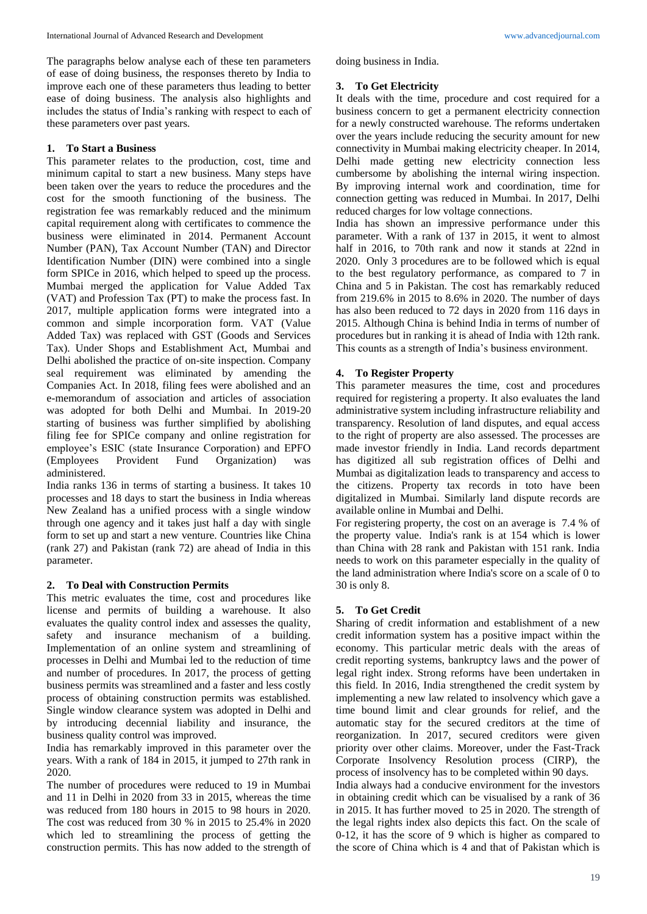doing business in India.

# **3. To Get Electricity**

It deals with the time, procedure and cost required for a business concern to get a permanent electricity connection for a newly constructed warehouse. The reforms undertaken over the years include reducing the security amount for new connectivity in Mumbai making electricity cheaper. In 2014, Delhi made getting new electricity connection less cumbersome by abolishing the internal wiring inspection. By improving internal work and coordination, time for connection getting was reduced in Mumbai. In 2017, Delhi reduced charges for low voltage connections.

India has shown an impressive performance under this parameter. With a rank of 137 in 2015, it went to almost half in 2016, to 70th rank and now it stands at 22nd in 2020. Only 3 procedures are to be followed which is equal to the best regulatory performance, as compared to 7 in China and 5 in Pakistan. The cost has remarkably reduced from 219.6% in 2015 to 8.6% in 2020. The number of days has also been reduced to 72 days in 2020 from 116 days in 2015. Although China is behind India in terms of number of procedures but in ranking it is ahead of India with 12th rank. This counts as a strength of India's business environment.

# **4. To Register Property**

This parameter measures the time, cost and procedures required for registering a property. It also evaluates the land administrative system including infrastructure reliability and transparency. Resolution of land disputes, and equal access to the right of property are also assessed. The processes are made investor friendly in India. Land records department has digitized all sub registration offices of Delhi and Mumbai as digitalization leads to transparency and access to the citizens. Property tax records in toto have been digitalized in Mumbai. Similarly land dispute records are available online in Mumbai and Delhi.

For registering property, the cost on an average is 7.4 % of the property value. India's rank is at 154 which is lower than China with 28 rank and Pakistan with 151 rank. India needs to work on this parameter especially in the quality of the land administration where India's score on a scale of 0 to 30 is only 8.

# **5. To Get Credit**

Sharing of credit information and establishment of a new credit information system has a positive impact within the economy. This particular metric deals with the areas of credit reporting systems, bankruptcy laws and the power of legal right index. Strong reforms have been undertaken in this field. In 2016, India strengthened the credit system by implementing a new law related to insolvency which gave a time bound limit and clear grounds for relief, and the automatic stay for the secured creditors at the time of reorganization. In 2017, secured creditors were given priority over other claims. Moreover, under the Fast-Track Corporate Insolvency Resolution process (CIRP), the process of insolvency has to be completed within 90 days.

India always had a conducive environment for the investors in obtaining credit which can be visualised by a rank of 36 in 2015. It has further moved to 25 in 2020. The strength of the legal rights index also depicts this fact. On the scale of 0-12, it has the score of 9 which is higher as compared to the score of China which is 4 and that of Pakistan which is

The paragraphs below analyse each of these ten parameters of ease of doing business, the responses thereto by India to improve each one of these parameters thus leading to better ease of doing business. The analysis also highlights and includes the status of India's ranking with respect to each of these parameters over past years.

### **1. To Start a Business**

This parameter relates to the production, cost, time and minimum capital to start a new business. Many steps have been taken over the years to reduce the procedures and the cost for the smooth functioning of the business. The registration fee was remarkably reduced and the minimum capital requirement along with certificates to commence the business were eliminated in 2014. Permanent Account Number (PAN), Tax Account Number (TAN) and Director Identification Number (DIN) were combined into a single form SPICe in 2016, which helped to speed up the process. Mumbai merged the application for Value Added Tax (VAT) and Profession Tax (PT) to make the process fast. In 2017, multiple application forms were integrated into a common and simple incorporation form. VAT (Value Added Tax) was replaced with GST (Goods and Services Tax). Under Shops and Establishment Act, Mumbai and Delhi abolished the practice of on-site inspection. Company seal requirement was eliminated by amending the Companies Act. In 2018, filing fees were abolished and an e-memorandum of association and articles of association was adopted for both Delhi and Mumbai. In 2019-20 starting of business was further simplified by abolishing filing fee for SPICe company and online registration for employee's ESIC (state Insurance Corporation) and EPFO (Employees Provident Fund Organization) was administered.

India ranks 136 in terms of starting a business. It takes 10 processes and 18 days to start the business in India whereas New Zealand has a unified process with a single window through one agency and it takes just half a day with single form to set up and start a new venture. Countries like China (rank 27) and Pakistan (rank 72) are ahead of India in this parameter.

# **2. To Deal with Construction Permits**

This metric evaluates the time, cost and procedures like license and permits of building a warehouse. It also evaluates the quality control index and assesses the quality, safety and insurance mechanism of a building. Implementation of an online system and streamlining of processes in Delhi and Mumbai led to the reduction of time and number of procedures. In 2017, the process of getting business permits was streamlined and a faster and less costly process of obtaining construction permits was established. Single window clearance system was adopted in Delhi and by introducing decennial liability and insurance, the business quality control was improved.

India has remarkably improved in this parameter over the years. With a rank of 184 in 2015, it jumped to 27th rank in 2020.

The number of procedures were reduced to 19 in Mumbai and 11 in Delhi in 2020 from 33 in 2015, whereas the time was reduced from 180 hours in 2015 to 98 hours in 2020. The cost was reduced from 30 % in 2015 to 25.4% in 2020 which led to streamlining the process of getting the construction permits. This has now added to the strength of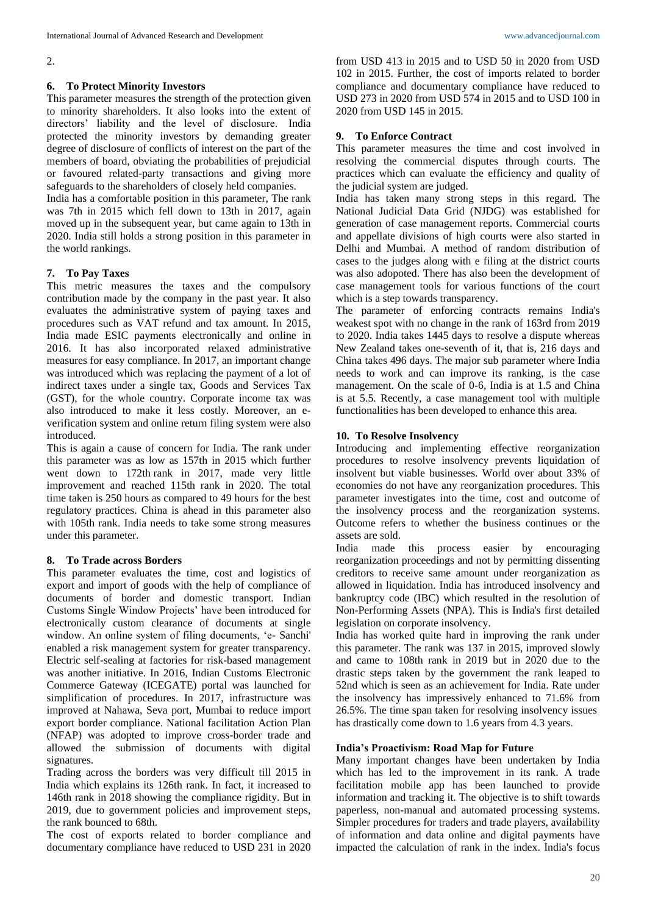2.

# **6. To Protect Minority Investors**

This parameter measures the strength of the protection given to minority shareholders. It also looks into the extent of directors' liability and the level of disclosure. India protected the minority investors by demanding greater degree of disclosure of conflicts of interest on the part of the members of board, obviating the probabilities of prejudicial or favoured related-party transactions and giving more safeguards to the shareholders of closely held companies.

India has a comfortable position in this parameter, The rank was 7th in 2015 which fell down to 13th in 2017, again moved up in the subsequent year, but came again to 13th in 2020. India still holds a strong position in this parameter in the world rankings.

# **7. To Pay Taxes**

This metric measures the taxes and the compulsory contribution made by the company in the past year. It also evaluates the administrative system of paying taxes and procedures such as VAT refund and tax amount. In 2015, India made ESIC payments electronically and online in 2016. It has also incorporated relaxed administrative measures for easy compliance. In 2017, an important change was introduced which was replacing the payment of a lot of indirect taxes under a single tax, Goods and Services Tax (GST), for the whole country. Corporate income tax was also introduced to make it less costly. Moreover, an everification system and online return filing system were also introduced.

This is again a cause of concern for India. The rank under this parameter was as low as 157th in 2015 which further went down to 172th rank in 2017, made very little improvement and reached 115th rank in 2020. The total time taken is 250 hours as compared to 49 hours for the best regulatory practices. China is ahead in this parameter also with 105th rank. India needs to take some strong measures under this parameter.

### **8. To Trade across Borders**

This parameter evaluates the time, cost and logistics of export and import of goods with the help of compliance of documents of border and domestic transport. Indian Customs Single Window Projects' have been introduced for electronically custom clearance of documents at single window. An online system of filing documents, 'e- Sanchi' enabled a risk management system for greater transparency. Electric self-sealing at factories for risk-based management was another initiative. In 2016, Indian Customs Electronic Commerce Gateway (ICEGATE) portal was launched for simplification of procedures. In 2017, infrastructure was improved at Nahawa, Seva port, Mumbai to reduce import export border compliance. National facilitation Action Plan (NFAP) was adopted to improve cross-border trade and allowed the submission of documents with digital signatures.

Trading across the borders was very difficult till 2015 in India which explains its 126th rank. In fact, it increased to 146th rank in 2018 showing the compliance rigidity. But in 2019, due to government policies and improvement steps, the rank bounced to 68th.

The cost of exports related to border compliance and documentary compliance have reduced to USD 231 in 2020

from USD 413 in 2015 and to USD 50 in 2020 from USD 102 in 2015. Further, the cost of imports related to border compliance and documentary compliance have reduced to USD 273 in 2020 from USD 574 in 2015 and to USD 100 in 2020 from USD 145 in 2015.

# **9. To Enforce Contract**

This parameter measures the time and cost involved in resolving the commercial disputes through courts. The practices which can evaluate the efficiency and quality of the judicial system are judged.

India has taken many strong steps in this regard. The National Judicial Data Grid (NJDG) was established for generation of case management reports. Commercial courts and appellate divisions of high courts were also started in Delhi and Mumbai. A method of random distribution of cases to the judges along with e filing at the district courts was also adopoted. There has also been the development of case management tools for various functions of the court which is a step towards transparency.

The parameter of enforcing contracts remains India's weakest spot with no change in the rank of 163rd from 2019 to 2020. India takes 1445 days to resolve a dispute whereas New Zealand takes one-seventh of it, that is, 216 days and China takes 496 days. The major sub parameter where India needs to work and can improve its ranking, is the case management. On the scale of 0-6, India is at 1.5 and China is at 5.5. Recently, a case management tool with multiple functionalities has been developed to enhance this area.

# **10. To Resolve Insolvency**

Introducing and implementing effective reorganization procedures to resolve insolvency prevents liquidation of insolvent but viable businesses. World over about 33% of economies do not have any reorganization procedures. This parameter investigates into the time, cost and outcome of the insolvency process and the reorganization systems. Outcome refers to whether the business continues or the assets are sold.

India made this process easier by encouraging reorganization proceedings and not by permitting dissenting creditors to receive same amount under reorganization as allowed in liquidation. India has introduced insolvency and bankruptcy code (IBC) which resulted in the resolution of Non-Performing Assets (NPA). This is India's first detailed legislation on corporate insolvency.

India has worked quite hard in improving the rank under this parameter. The rank was 137 in 2015, improved slowly and came to 108th rank in 2019 but in 2020 due to the drastic steps taken by the government the rank leaped to 52nd which is seen as an achievement for India. Rate under the insolvency has impressively enhanced to 71.6% from 26.5%. The time span taken for resolving insolvency issues has drastically come down to 1.6 years from 4.3 years.

### **India's Proactivism: Road Map for Future**

Many important changes have been undertaken by India which has led to the improvement in its rank. A trade facilitation mobile app has been launched to provide information and tracking it. The objective is to shift towards paperless, non-manual and automated processing systems. Simpler procedures for traders and trade players, availability of information and data online and digital payments have impacted the calculation of rank in the index. India's focus